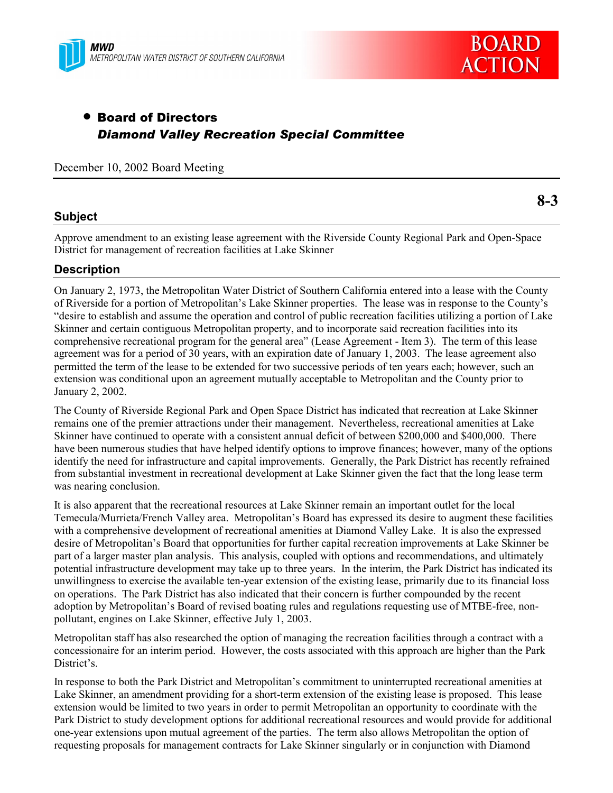



**8-3**

# • Board of Directors *Diamond Valley Recreation Special Committee*

December 10, 2002 Board Meeting

## **Subject**

Approve amendment to an existing lease agreement with the Riverside County Regional Park and Open-Space District for management of recreation facilities at Lake Skinner

## **Description**

On January 2, 1973, the Metropolitan Water District of Southern California entered into a lease with the County of Riverside for a portion of Metropolitanís Lake Skinner properties. The lease was in response to the Countyís ìdesire to establish and assume the operation and control of public recreation facilities utilizing a portion of Lake Skinner and certain contiguous Metropolitan property, and to incorporate said recreation facilities into its comprehensive recreational program for the general area" (Lease Agreement - Item 3). The term of this lease agreement was for a period of 30 years, with an expiration date of January 1, 2003. The lease agreement also permitted the term of the lease to be extended for two successive periods of ten years each; however, such an extension was conditional upon an agreement mutually acceptable to Metropolitan and the County prior to January 2, 2002.

The County of Riverside Regional Park and Open Space District has indicated that recreation at Lake Skinner remains one of the premier attractions under their management. Nevertheless, recreational amenities at Lake Skinner have continued to operate with a consistent annual deficit of between \$200,000 and \$400,000. There have been numerous studies that have helped identify options to improve finances; however, many of the options identify the need for infrastructure and capital improvements. Generally, the Park District has recently refrained from substantial investment in recreational development at Lake Skinner given the fact that the long lease term was nearing conclusion.

It is also apparent that the recreational resources at Lake Skinner remain an important outlet for the local Temecula/Murrieta/French Valley area. Metropolitan's Board has expressed its desire to augment these facilities with a comprehensive development of recreational amenities at Diamond Valley Lake. It is also the expressed desire of Metropolitanís Board that opportunities for further capital recreation improvements at Lake Skinner be part of a larger master plan analysis. This analysis, coupled with options and recommendations, and ultimately potential infrastructure development may take up to three years. In the interim, the Park District has indicated its unwillingness to exercise the available ten-year extension of the existing lease, primarily due to its financial loss on operations. The Park District has also indicated that their concern is further compounded by the recent adoption by Metropolitan's Board of revised boating rules and regulations requesting use of MTBE-free, nonpollutant, engines on Lake Skinner, effective July 1, 2003.

Metropolitan staff has also researched the option of managing the recreation facilities through a contract with a concessionaire for an interim period. However, the costs associated with this approach are higher than the Park District's

In response to both the Park District and Metropolitanís commitment to uninterrupted recreational amenities at Lake Skinner, an amendment providing for a short-term extension of the existing lease is proposed. This lease extension would be limited to two years in order to permit Metropolitan an opportunity to coordinate with the Park District to study development options for additional recreational resources and would provide for additional one-year extensions upon mutual agreement of the parties. The term also allows Metropolitan the option of requesting proposals for management contracts for Lake Skinner singularly or in conjunction with Diamond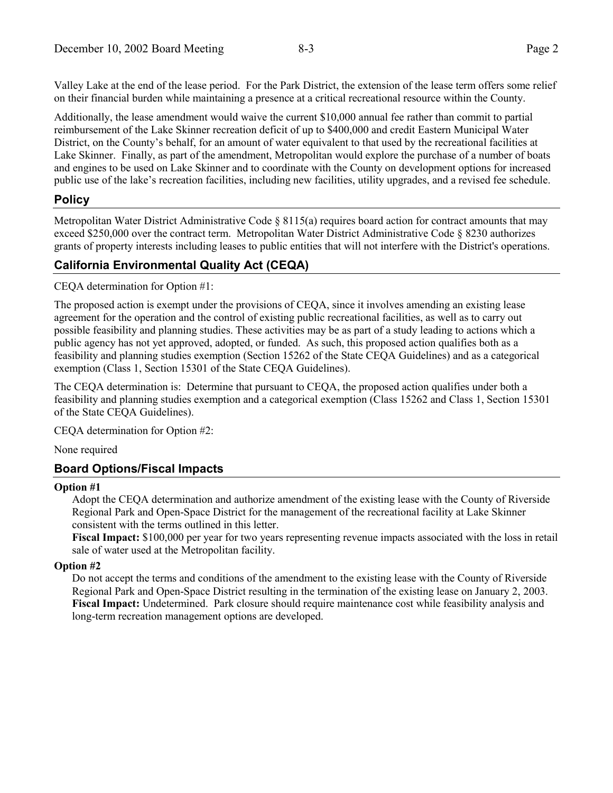Valley Lake at the end of the lease period. For the Park District, the extension of the lease term offers some relief on their financial burden while maintaining a presence at a critical recreational resource within the County.

Additionally, the lease amendment would waive the current \$10,000 annual fee rather than commit to partial reimbursement of the Lake Skinner recreation deficit of up to \$400,000 and credit Eastern Municipal Water District, on the County's behalf, for an amount of water equivalent to that used by the recreational facilities at Lake Skinner. Finally, as part of the amendment, Metropolitan would explore the purchase of a number of boats and engines to be used on Lake Skinner and to coordinate with the County on development options for increased public use of the lake's recreation facilities, including new facilities, utility upgrades, and a revised fee schedule.

### **Policy**

Metropolitan Water District Administrative Code  $\S 8115(a)$  requires board action for contract amounts that may exceed \$250,000 over the contract term. Metropolitan Water District Administrative Code ß 8230 authorizes grants of property interests including leases to public entities that will not interfere with the District's operations.

### **California Environmental Quality Act (CEQA)**

CEQA determination for Option #1:

The proposed action is exempt under the provisions of CEQA, since it involves amending an existing lease agreement for the operation and the control of existing public recreational facilities, as well as to carry out possible feasibility and planning studies. These activities may be as part of a study leading to actions which a public agency has not yet approved, adopted, or funded. As such, this proposed action qualifies both as a feasibility and planning studies exemption (Section 15262 of the State CEQA Guidelines) and as a categorical exemption (Class 1, Section 15301 of the State CEQA Guidelines).

The CEQA determination is: Determine that pursuant to CEQA, the proposed action qualifies under both a feasibility and planning studies exemption and a categorical exemption (Class 15262 and Class 1, Section 15301 of the State CEQA Guidelines).

CEQA determination for Option #2:

None required

#### **Board Options/Fiscal Impacts**

#### **Option #1**

Adopt the CEQA determination and authorize amendment of the existing lease with the County of Riverside Regional Park and Open-Space District for the management of the recreational facility at Lake Skinner consistent with the terms outlined in this letter.

**Fiscal Impact:** \$100,000 per year for two years representing revenue impacts associated with the loss in retail sale of water used at the Metropolitan facility.

#### **Option #2**

Do not accept the terms and conditions of the amendment to the existing lease with the County of Riverside Regional Park and Open-Space District resulting in the termination of the existing lease on January 2, 2003. **Fiscal Impact:** Undetermined. Park closure should require maintenance cost while feasibility analysis and long-term recreation management options are developed.